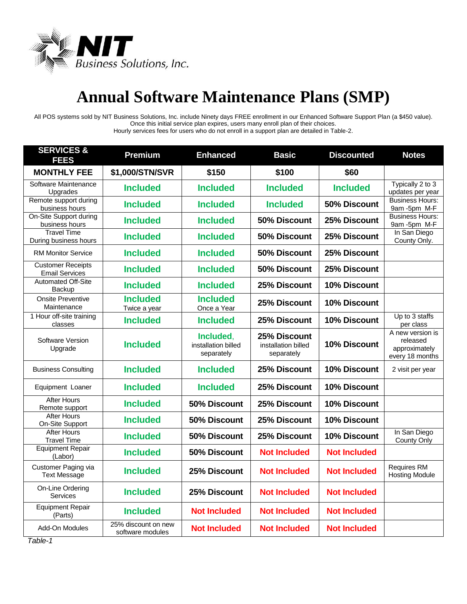

## **Annual Software Maintenance Plans (SMP)**

All POS systems sold by NIT Business Solutions, Inc. include Ninety days FREE enrollment in our Enhanced Software Support Plan (a \$450 value). Once this initial service plan expires, users many enroll plan of their choices. Hourly services fees for users who do not enroll in a support plan are detailed in Table-2.

| <b>SERVICES &amp;</b><br><b>FEES</b>              | <b>Premium</b>                          | <b>Enhanced</b>                                | <b>Basic</b>                                      | <b>Discounted</b>   | <b>Notes</b>                                                     |
|---------------------------------------------------|-----------------------------------------|------------------------------------------------|---------------------------------------------------|---------------------|------------------------------------------------------------------|
| <b>MONTHLY FEE</b>                                | \$1,000/STN/SVR                         | \$150                                          | \$100                                             | \$60                |                                                                  |
| Software Maintenance<br>Upgrades                  | <b>Included</b>                         | <b>Included</b>                                | <b>Included</b>                                   | <b>Included</b>     | Typically 2 to 3<br>updates per year                             |
| Remote support during<br>business hours           | <b>Included</b>                         | <b>Included</b>                                | <b>Included</b>                                   | 50% Discount        | <b>Business Hours:</b><br>9am -5pm M-F                           |
| On-Site Support during<br>business hours          | <b>Included</b>                         | <b>Included</b>                                | 50% Discount                                      | 25% Discount        | <b>Business Hours:</b><br>9am -5pm M-F                           |
| Travel Time<br>During business hours              | <b>Included</b>                         | <b>Included</b>                                | 50% Discount                                      | 25% Discount        | In San Diego<br>County Only.                                     |
| <b>RM Monitor Service</b>                         | <b>Included</b>                         | <b>Included</b>                                | 50% Discount                                      | 25% Discount        |                                                                  |
| <b>Customer Receipts</b><br><b>Email Services</b> | <b>Included</b>                         | <b>Included</b>                                | 50% Discount                                      | 25% Discount        |                                                                  |
| <b>Automated Off-Site</b><br>Backup               | <b>Included</b>                         | <b>Included</b>                                | 25% Discount                                      | 10% Discount        |                                                                  |
| <b>Onsite Preventive</b><br>Maintenance           | <b>Included</b><br>Twice a year         | <b>Included</b><br>Once a Year                 | 25% Discount                                      | 10% Discount        |                                                                  |
| 1 Hour off-site training<br>classes               | <b>Included</b>                         | <b>Included</b>                                | 25% Discount                                      | 10% Discount        | Up to 3 staffs<br>per class                                      |
| Software Version<br>Upgrade                       | <b>Included</b>                         | Included,<br>installation billed<br>separately | 25% Discount<br>installation billed<br>separately | 10% Discount        | A new version is<br>released<br>approximately<br>every 18 months |
| <b>Business Consulting</b>                        | <b>Included</b>                         | <b>Included</b>                                | 25% Discount                                      | 10% Discount        | 2 visit per year                                                 |
| Equipment Loaner                                  | <b>Included</b>                         | <b>Included</b>                                | 25% Discount                                      | 10% Discount        |                                                                  |
| <b>After Hours</b><br>Remote support              | <b>Included</b>                         | 50% Discount                                   | 25% Discount                                      | 10% Discount        |                                                                  |
| <b>After Hours</b><br>On-Site Support             | <b>Included</b>                         | 50% Discount                                   | 25% Discount                                      | 10% Discount        |                                                                  |
| After Hours<br><b>Travel Time</b>                 | <b>Included</b>                         | 50% Discount                                   | 25% Discount                                      | 10% Discount        | In San Diego<br>County Only                                      |
| <b>Equipment Repair</b><br>(Labor)                | <b>Included</b>                         | 50% Discount                                   | <b>Not Included</b>                               | <b>Not Included</b> |                                                                  |
| Customer Paging via<br><b>Text Message</b>        | <b>Included</b>                         | 25% Discount                                   | <b>Not Included</b>                               | <b>Not Included</b> | <b>Requires RM</b><br><b>Hosting Module</b>                      |
| On-Line Ordering<br><b>Services</b>               | <b>Included</b>                         | 25% Discount                                   | <b>Not Included</b>                               | <b>Not Included</b> |                                                                  |
| <b>Equipment Repair</b><br>(Parts)                | <b>Included</b>                         | <b>Not Included</b>                            | <b>Not Included</b>                               | <b>Not Included</b> |                                                                  |
| Add-On Modules                                    | 25% discount on new<br>software modules | <b>Not Included</b>                            | <b>Not Included</b>                               | <b>Not Included</b> |                                                                  |

*Table-1*